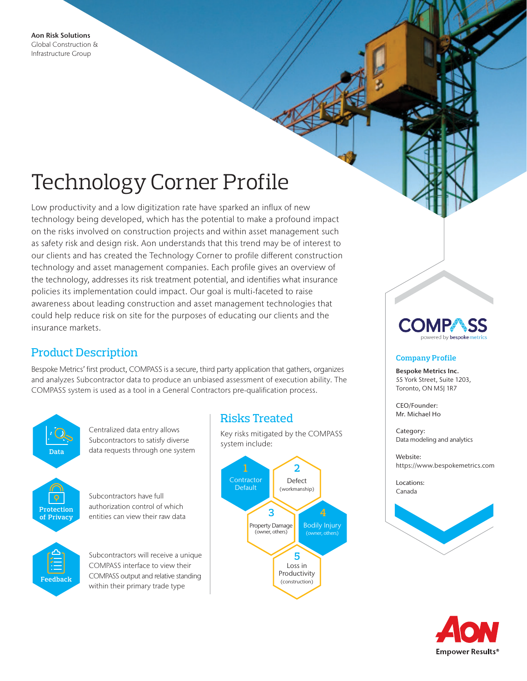# Technology Corner Profile

Low productivity and a low digitization rate have sparked an influx of new technology being developed, which has the potential to make a profound impact on the risks involved on construction projects and within asset management such as safety risk and design risk. Aon understands that this trend may be of interest to our clients and has created the Technology Corner to profile different construction technology and asset management companies. Each profile gives an overview of the technology, addresses its risk treatment potential, and identifies what insurance policies its implementation could impact. Our goal is multi-faceted to raise awareness about leading construction and asset management technologies that could help reduce risk on site for the purposes of educating our clients and the insurance markets.

## Product Description

Bespoke Metrics' first product, COMPASS is a secure, third party application that gathers, organizes and analyzes Subcontractor data to produce an unbiased assessment of execution ability. The COMPASS system is used as a tool in a General Contractors pre-qualification process.



## Risks Treated

Key risks mitigated by the COMPASS system include:



### **Company Profile**

Bespoke Metrics Inc. 55 York Street, Suite 1203, Toronto, ON M5J 1R7

CEO/Founder: Mr. Michael Ho

Category: Data modeling and analytics

Website: https://www.bespokemetrics.com

Locations: Canada